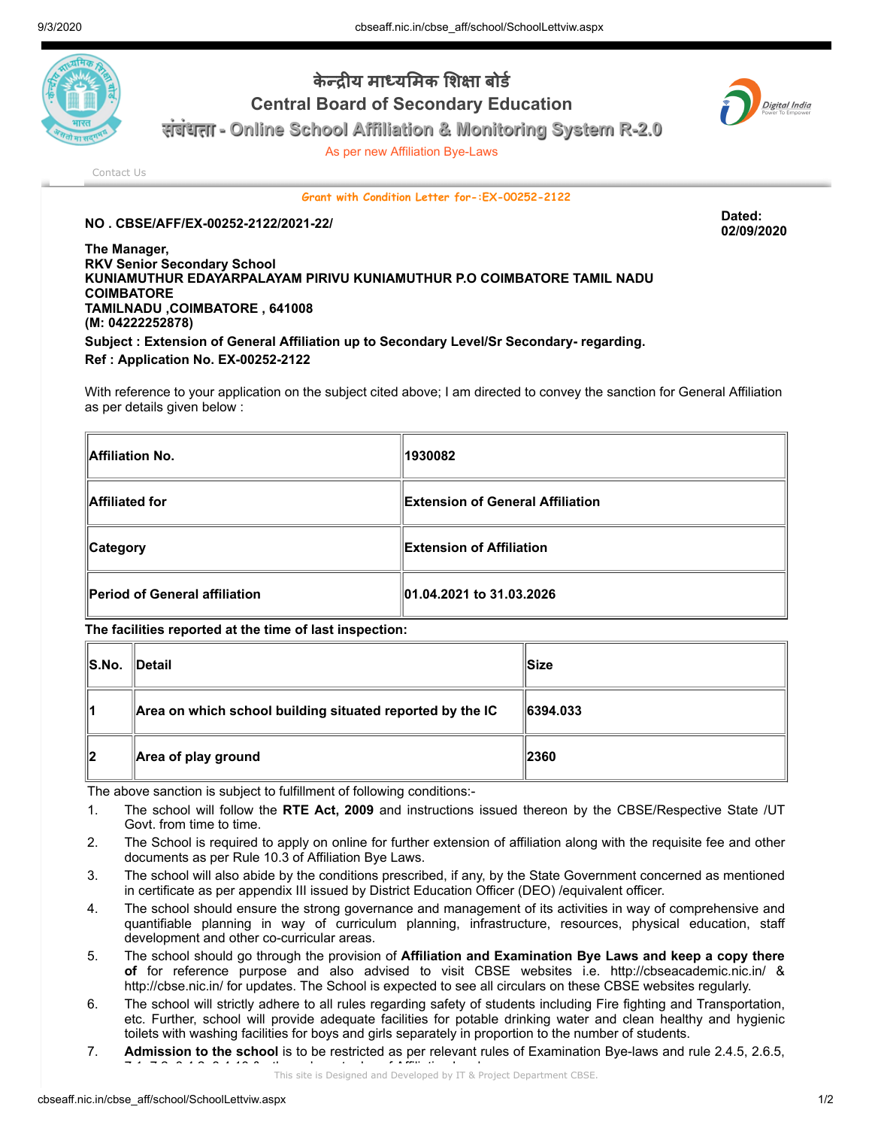

## केन्द्रीय माध्यमिक शिक्षा बोर्ड Central Board of Secondary Education



संबंधता - Online School Affiliation & Monitoring System R-2.0

As per new Affiliation Bye-Laws

[Contact Us](http://cbseaff.nic.in/cbse_aff/help.aspx)

Grant with Condition Letter for-:EX-00252-2122

## NO . CBSE/AFF/EX-00252-2122/2021-22/ Dated:

02/09/2020

The Manager, RKV Senior Secondary School KUNIAMUTHUR EDAYARPALAYAM PIRIVU KUNIAMUTHUR P.O COIMBATORE TAMIL NADU **COIMBATORE** TAMILNADU ,COIMBATORE , 641008 (M: 04222252878) Subject : Extension of General Affiliation up to Secondary Level/Sr Secondary- regarding. Ref : Application No. EX-00252-2122

With reference to your application on the subject cited above; I am directed to convey the sanction for General Affiliation as per details given below :

| Affiliation No.               | 1930082                                 |
|-------------------------------|-----------------------------------------|
| Affiliated for                | <b>Extension of General Affiliation</b> |
| ∥Category                     | <b>Extension of Affiliation</b>         |
| Period of General affiliation | 01.04.2021 to 31.03.2026                |

The facilities reported at the time of last inspection:

| S.No. | $\blacksquare$ Detail                                     | ∥Size          |
|-------|-----------------------------------------------------------|----------------|
| ∥1    | Area on which school building situated reported by the IC | $\ 6394.033\ $ |
| 12    | Area of play ground                                       | 2360           |

The above sanction is subject to fulfillment of following conditions:-

- 1. The school will follow the RTE Act, 2009 and instructions issued thereon by the CBSE/Respective State /UT Govt. from time to time.
- 2. The School is required to apply on online for further extension of affiliation along with the requisite fee and other documents as per Rule 10.3 of Affiliation Bye Laws.
- 3. The school will also abide by the conditions prescribed, if any, by the State Government concerned as mentioned in certificate as per appendix III issued by District Education Officer (DEO) /equivalent officer.
- 4. The school should ensure the strong governance and management of its activities in way of comprehensive and quantifiable planning in way of curriculum planning, infrastructure, resources, physical education, staff development and other co-curricular areas.
- 5. The school should go through the provision of Affiliation and Examination Bye Laws and keep a copy there of for reference purpose and also advised to visit CBSE websites i.e. http://cbseacademic.nic.in/ & http://cbse.nic.in/ for updates. The School is expected to see all circulars on these CBSE websites regularly.
- 6. The school will strictly adhere to all rules regarding safety of students including Fire fighting and Transportation, etc. Further, school will provide adequate facilities for potable drinking water and clean healthy and hygienic toilets with washing facilities for boys and girls separately in proportion to the number of students.
- 7. Admission to the school is to be restricted as per relevant rules of Examination Bye-laws and rule 2.4.5, 2.6.5,